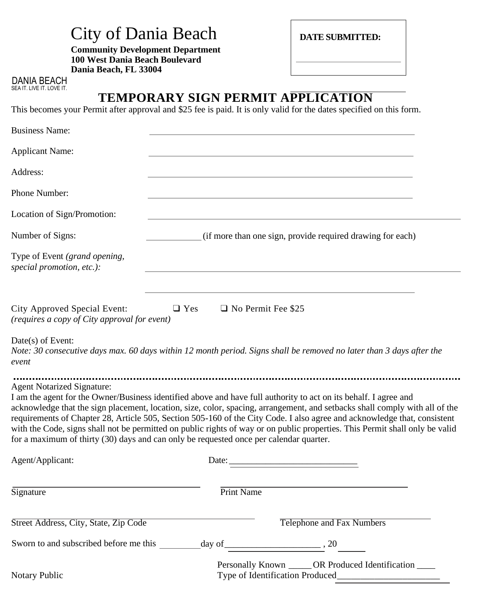| City of Dania Beach |  |  |  |
|---------------------|--|--|--|
|---------------------|--|--|--|

**Community Development Department 100 West Dania Beach Boulevard Dania Beach, FL 33004**

DANIA BEACH SEA IT. LIVE IT. LOVE IT.

# **TEMPORARY SIGN PERMIT APPLICATION**

**DATE SUBMITTED:**

This becomes your Permit after approval and \$25 fee is paid. It is only valid for the dates specified on this form.

| <b>Business Name:</b>                                                        |                                                                                                                                                                                                                                                                                                                                                                                                                                                                                                                                                                                                       |
|------------------------------------------------------------------------------|-------------------------------------------------------------------------------------------------------------------------------------------------------------------------------------------------------------------------------------------------------------------------------------------------------------------------------------------------------------------------------------------------------------------------------------------------------------------------------------------------------------------------------------------------------------------------------------------------------|
| <b>Applicant Name:</b>                                                       |                                                                                                                                                                                                                                                                                                                                                                                                                                                                                                                                                                                                       |
| Address:                                                                     |                                                                                                                                                                                                                                                                                                                                                                                                                                                                                                                                                                                                       |
| Phone Number:                                                                |                                                                                                                                                                                                                                                                                                                                                                                                                                                                                                                                                                                                       |
| Location of Sign/Promotion:                                                  |                                                                                                                                                                                                                                                                                                                                                                                                                                                                                                                                                                                                       |
| Number of Signs:                                                             | (if more than one sign, provide required drawing for each)                                                                                                                                                                                                                                                                                                                                                                                                                                                                                                                                            |
| Type of Event (grand opening,<br>special promotion, etc.):                   |                                                                                                                                                                                                                                                                                                                                                                                                                                                                                                                                                                                                       |
| City Approved Special Event:<br>(requires a copy of City approval for event) | $\Box$ Yes<br>$\Box$ No Permit Fee \$25                                                                                                                                                                                                                                                                                                                                                                                                                                                                                                                                                               |
| Date(s) of Event:<br>event                                                   | Note: 30 consecutive days max. 60 days within 12 month period. Signs shall be removed no later than 3 days after the                                                                                                                                                                                                                                                                                                                                                                                                                                                                                  |
| <b>Agent Notarized Signature:</b>                                            | I am the agent for the Owner/Business identified above and have full authority to act on its behalf. I agree and<br>acknowledge that the sign placement, location, size, color, spacing, arrangement, and setbacks shall comply with all of the<br>requirements of Chapter 28, Article 505, Section 505-160 of the City Code. I also agree and acknowledge that, consistent<br>with the Code, signs shall not be permitted on public rights of way or on public properties. This Permit shall only be valid<br>for a maximum of thirty (30) days and can only be requested once per calendar quarter. |
| Agent/Applicant:                                                             | Date:                                                                                                                                                                                                                                                                                                                                                                                                                                                                                                                                                                                                 |
| Signature                                                                    | Print Name                                                                                                                                                                                                                                                                                                                                                                                                                                                                                                                                                                                            |
| Street Address, City, State, Zip Code                                        | Telephone and Fax Numbers                                                                                                                                                                                                                                                                                                                                                                                                                                                                                                                                                                             |
|                                                                              | Sworn to and subscribed before me this $\frac{day \text{ of }^2}{}_{\text{20}}$                                                                                                                                                                                                                                                                                                                                                                                                                                                                                                                       |
| Notary Public                                                                | Personally Known _____ OR Produced Identification ____                                                                                                                                                                                                                                                                                                                                                                                                                                                                                                                                                |